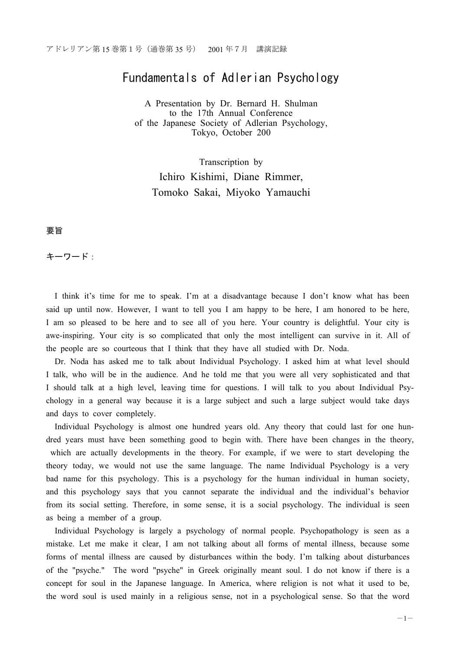# Fundamentals of Adlerian Psychology

A Presentation by Dr. Bernard H. Shulman to the 17th Annual Conference of the Japanese Society of Adlerian Psychology, Tokyo, October 200

Transcription by Ichiro Kishimi, Diane Rimmer, Tomoko Sakai, Miyoko Yamauchi

要旨

キーワード:

I think it's time for me to speak. I'm at a disadvantage because I don't know what has been said up until now. However, I want to tell you I am happy to be here, I am honored to be here, I am so pleased to be here and to see all of you here. Your country is delightful. Your city is awe-inspiring. Your city is so complicated that only the most intelligent can survive in it. All of the people are so courteous that I think that they have all studied with Dr. Noda.

Dr. Noda has asked me to talk about Individual Psychology. I asked him at what level should I talk, who will be in the audience. And he told me that you were all very sophisticated and that I should talk at a high level, leaving time for questions. I will talk to you about Individual Psychology in a general way because it is a large subject and such a large subject would take days and days to cover completely.

Individual Psychology is almost one hundred years old. Any theory that could last for one hundred years must have been something good to begin with. There have been changes in the theory, which are actually developments in the theory. For example, if we were to start developing the theory today, we would not use the same language. The name Individual Psychology is a very bad name for this psychology. This is a psychology for the human individual in human society, and this psychology says that you cannot separate the individual and the individual's behavior from its social setting. Therefore, in some sense, it is a social psychology. The individual is seen as being a member of a group.

Individual Psychology is largely a psychology of normal people. Psychopathology is seen as a mistake. Let me make it clear, I am not talking about all forms of mental illness, because some forms of mental illness are caused by disturbances within the body. I'm talking about disturbances of the "psyche." The word "psyche" in Greek originally meant soul. I do not know if there is a concept for soul in the Japanese language. In America, where religion is not what it used to be, the word soul is used mainly in a religious sense, not in a psychological sense. So that the word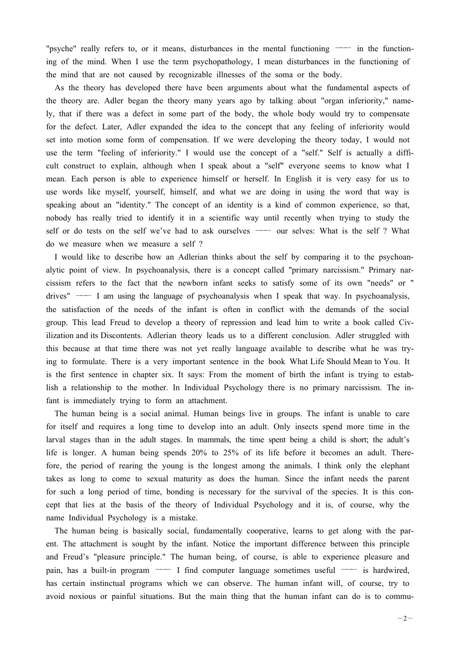"psyche" really refers to, or it means, disturbances in the mental functioning  $\rightarrow$  in the functioning of the mind. When I use the term psychopathology, I mean disturbances in the functioning of the mind that are not caused by recognizable illnesses of the soma or the body.

As the theory has developed there have been arguments about what the fundamental aspects of the theory are. Adler began the theory many years ago by talking about "organ inferiority," namely, that if there was a defect in some part of the body, the whole body would try to compensate for the defect. Later, Adler expanded the idea to the concept that any feeling of inferiority would set into motion some form of compensation. If we were developing the theory today, I would not use the term "feeling of inferiority." I would use the concept of a "self." Self is actually a difficult construct to explain, although when I speak about a "self" everyone seems to know what I mean. Each person is able to experience himself or herself. In English it is very easy for us to use words like myself, yourself, himself, and what we are doing in using the word that way is speaking about an "identity." The concept of an identity is a kind of common experience, so that, nobody has really tried to identify it in a scientific way until recently when trying to study the self or do tests on the self we've had to ask ourselves — our selves: What is the self ? What do we measure when we measure a self ?

I would like to describe how an Adlerian thinks about the self by comparing it to the psychoanalytic point of view. In psychoanalysis, there is a concept called "primary narcissism." Primary narcissism refers to the fact that the newborn infant seeks to satisfy some of its own "needs" or "  $drives''$  --- I am using the language of psychoanalysis when I speak that way. In psychoanalysis, the satisfaction of the needs of the infant is often in conflict with the demands of the social group. This lead Freud to develop a theory of repression and lead him to write a book called Civilization and its Discontents. Adlerian theory leads us to a different conclusion. Adler struggled with this because at that time there was not yet really language available to describe what he was trying to formulate. There is a very important sentence in the book What Life Should Mean to You. It is the first sentence in chapter six. It says: From the moment of birth the infant is trying to establish a relationship to the mother. In Individual Psychology there is no primary narcissism. The infant is immediately trying to form an attachment.

The human being is a social animal. Human beings live in groups. The infant is unable to care for itself and requires a long time to develop into an adult. Only insects spend more time in the larval stages than in the adult stages. In mammals, the time spent being a child is short; the adult's life is longer. A human being spends 20% to 25% of its life before it becomes an adult. Therefore, the period of rearing the young is the longest among the animals. I think only the elephant takes as long to come to sexual maturity as does the human. Since the infant needs the parent for such a long period of time, bonding is necessary for the survival of the species. It is this concept that lies at the basis of the theory of Individual Psychology and it is, of course, why the name Individual Psychology is a mistake.

The human being is basically social, fundamentally cooperative, learns to get along with the parent. The attachment is sought by the infant. Notice the important difference between this principle and Freud's "pleasure principle." The human being, of course, is able to experience pleasure and pain, has a built-in program  $\frac{1}{\sqrt{1-\frac{1}{\sqrt{1-\frac{1}{\sqrt{1-\frac{1}{\sqrt{1-\frac{1}{\sqrt{1-\frac{1}{\sqrt{1-\frac{1}{\sqrt{1-\frac{1}{\sqrt{1-\frac{1}{\sqrt{1-\frac{1}{\sqrt{1-\frac{1}{\sqrt{1-\frac{1}{\sqrt{1-\frac{1}{\sqrt{1-\frac{1}{\sqrt{1-\frac{1}{\sqrt{1-\frac{1}{\sqrt{1-\frac{1}{\sqrt{1-\frac{1}{\sqrt{1-\frac{1}{\sqrt{1-\frac{1}{\sqrt{1-\frac{1}{\sqrt{1-\frac$ has certain instinctual programs which we can observe. The human infant will, of course, try to avoid noxious or painful situations. But the main thing that the human infant can do is to commu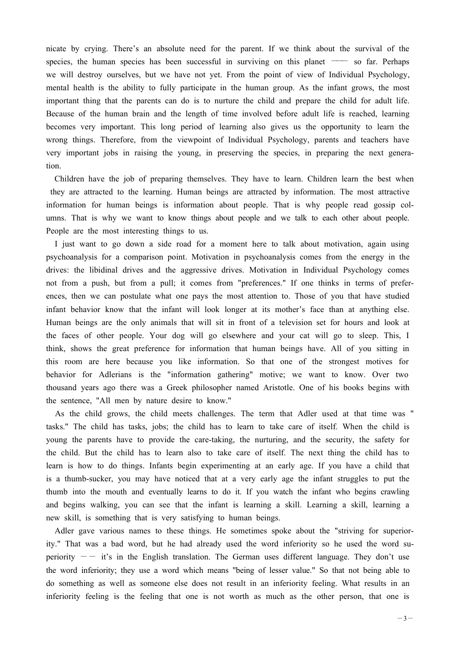nicate by crying. There's an absolute need for the parent. If we think about the survival of the species, the human species has been successful in surviving on this planet  $\sim$  so far. Perhaps we will destroy ourselves, but we have not yet. From the point of view of Individual Psychology, mental health is the ability to fully participate in the human group. As the infant grows, the most important thing that the parents can do is to nurture the child and prepare the child for adult life. Because of the human brain and the length of time involved before adult life is reached, learning becomes very important. This long period of learning also gives us the opportunity to learn the wrong things. Therefore, from the viewpoint of Individual Psychology, parents and teachers have very important jobs in raising the young, in preserving the species, in preparing the next generation.

Children have the job of preparing themselves. They have to learn. Children learn the best when they are attracted to the learning. Human beings are attracted by information. The most attractive information for human beings is information about people. That is why people read gossip columns. That is why we want to know things about people and we talk to each other about people. People are the most interesting things to us.

I just want to go down a side road for a moment here to talk about motivation, again using psychoanalysis for a comparison point. Motivation in psychoanalysis comes from the energy in the drives: the libidinal drives and the aggressive drives. Motivation in Individual Psychology comes not from a push, but from a pull; it comes from "preferences." If one thinks in terms of preferences, then we can postulate what one pays the most attention to. Those of you that have studied infant behavior know that the infant will look longer at its mother's face than at anything else. Human beings are the only animals that will sit in front of a television set for hours and look at the faces of other people. Your dog will go elsewhere and your cat will go to sleep. This, I think, shows the great preference for information that human beings have. All of you sitting in this room are here because you like information. So that one of the strongest motives for behavior for Adlerians is the "information gathering" motive; we want to know. Over two thousand years ago there was a Greek philosopher named Aristotle. One of his books begins with the sentence, "All men by nature desire to know."

As the child grows, the child meets challenges. The term that Adler used at that time was " tasks." The child has tasks, jobs; the child has to learn to take care of itself. When the child is young the parents have to provide the care-taking, the nurturing, and the security, the safety for the child. But the child has to learn also to take care of itself. The next thing the child has to learn is how to do things. Infants begin experimenting at an early age. If you have a child that is a thumb-sucker, you may have noticed that at a very early age the infant struggles to put the thumb into the mouth and eventually learns to do it. If you watch the infant who begins crawling and begins walking, you can see that the infant is learning a skill. Learning a skill, learning a new skill, is something that is very satisfying to human beings.

Adler gave various names to these things. He sometimes spoke about the "striving for superiority." That was a bad word, but he had already used the word inferiority so he used the word superiority  $-$  it's in the English translation. The German uses different language. They don't use the word inferiority; they use a word which means "being of lesser value." So that not being able to do something as well as someone else does not result in an inferiority feeling. What results in an inferiority feeling is the feeling that one is not worth as much as the other person, that one is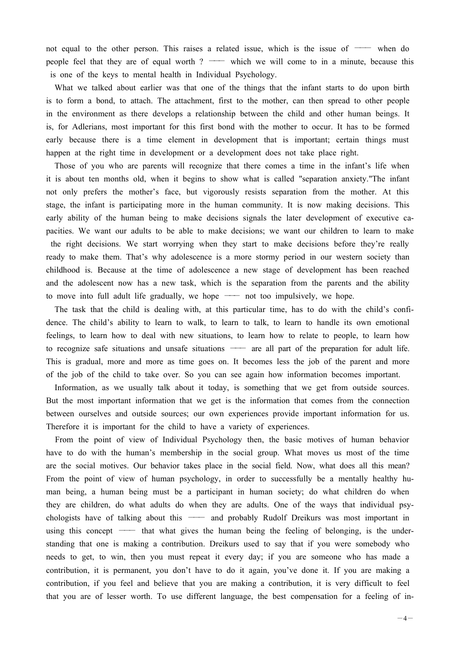not equal to the other person. This raises a related issue, which is the issue of  $\sim$  when do people feel that they are of equal worth ?  $\longrightarrow$  which we will come to in a minute, because this is one of the keys to mental health in Individual Psychology.

What we talked about earlier was that one of the things that the infant starts to do upon birth is to form a bond, to attach. The attachment, first to the mother, can then spread to other people in the environment as there develops a relationship between the child and other human beings. It is, for Adlerians, most important for this first bond with the mother to occur. It has to be formed early because there is a time element in development that is important; certain things must happen at the right time in development or a development does not take place right.

Those of you who are parents will recognize that there comes a time in the infant's life when it is about ten months old, when it begins to show what is called "separation anxiety."The infant not only prefers the mother's face, but vigorously resists separation from the mother. At this stage, the infant is participating more in the human community. It is now making decisions. This early ability of the human being to make decisions signals the later development of executive capacities. We want our adults to be able to make decisions; we want our children to learn to make the right decisions. We start worrying when they start to make decisions before they're really ready to make them. That's why adolescence is a more stormy period in our western society than childhood is. Because at the time of adolescence a new stage of development has been reached and the adolescent now has a new task, which is the separation from the parents and the ability to move into full adult life gradually, we hope — not too impulsively, we hope.

The task that the child is dealing with, at this particular time, has to do with the child's confidence. The child's ability to learn to walk, to learn to talk, to learn to handle its own emotional feelings, to learn how to deal with new situations, to learn how to relate to people, to learn how to recognize safe situations and unsafe situations — are all part of the preparation for adult life. This is gradual, more and more as time goes on. It becomes less the job of the parent and more of the job of the child to take over. So you can see again how information becomes important.

Information, as we usually talk about it today, is something that we get from outside sources. But the most important information that we get is the information that comes from the connection between ourselves and outside sources; our own experiences provide important information for us. Therefore it is important for the child to have a variety of experiences.

From the point of view of Individual Psychology then, the basic motives of human behavior have to do with the human's membership in the social group. What moves us most of the time are the social motives. Our behavior takes place in the social field. Now, what does all this mean? From the point of view of human psychology, in order to successfully be a mentally healthy human being, a human being must be a participant in human society; do what children do when they are children, do what adults do when they are adults. One of the ways that individual psychologists have of talking about this  $\frac{1}{\sqrt{1-\frac{1}{\sqrt{1-\frac{1}{\sqrt{1-\frac{1}{\sqrt{1-\frac{1}{\sqrt{1-\frac{1}{\sqrt{1-\frac{1}{\sqrt{1-\frac{1}{\sqrt{1-\frac{1}{\sqrt{1-\frac{1}{\sqrt{1-\frac{1}{\sqrt{1-\frac{1}{\sqrt{1-\frac{1}{\sqrt{1-\frac{1}{\sqrt{1-\frac{1}{\sqrt{1-\frac{1}{\sqrt{1-\frac{1}{\sqrt{1-\frac{1}{\sqrt{1-\frac{1}{\sqrt{1-\frac{1}{\sqrt{1-\frac{$ using this concept  $\longrightarrow$  that what gives the human being the feeling of belonging, is the understanding that one is making a contribution. Dreikurs used to say that if you were somebody who needs to get, to win, then you must repeat it every day; if you are someone who has made a contribution, it is permanent, you don't have to do it again, you've done it. If you are making a contribution, if you feel and believe that you are making a contribution, it is very difficult to feel that you are of lesser worth. To use different language, the best compensation for a feeling of in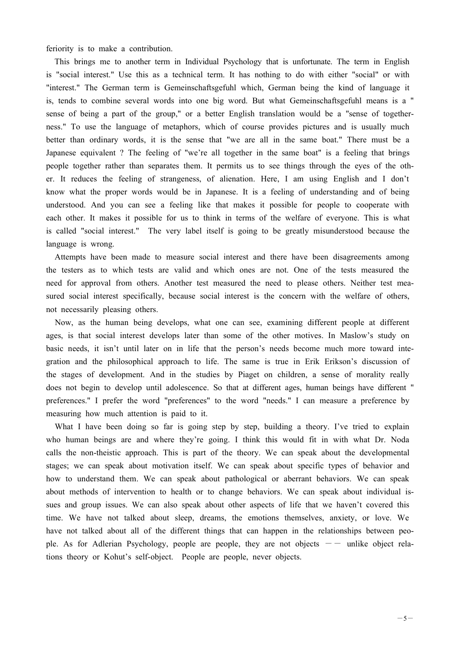feriority is to make a contribution.

This brings me to another term in Individual Psychology that is unfortunate. The term in English is "social interest." Use this as a technical term. It has nothing to do with either "social" or with "interest." The German term is Gemeinschaftsgefuhl which, German being the kind of language it is, tends to combine several words into one big word. But what Gemeinschaftsgefuhl means is a " sense of being a part of the group," or a better English translation would be a "sense of togetherness." To use the language of metaphors, which of course provides pictures and is usually much better than ordinary words, it is the sense that "we are all in the same boat." There must be a Japanese equivalent ? The feeling of "we're all together in the same boat" is a feeling that brings people together rather than separates them. It permits us to see things through the eyes of the other. It reduces the feeling of strangeness, of alienation. Here, I am using English and I don't know what the proper words would be in Japanese. It is a feeling of understanding and of being understood. And you can see a feeling like that makes it possible for people to cooperate with each other. It makes it possible for us to think in terms of the welfare of everyone. This is what is called "social interest." The very label itself is going to be greatly misunderstood because the language is wrong.

Attempts have been made to measure social interest and there have been disagreements among the testers as to which tests are valid and which ones are not. One of the tests measured the need for approval from others. Another test measured the need to please others. Neither test measured social interest specifically, because social interest is the concern with the welfare of others, not necessarily pleasing others.

Now, as the human being develops, what one can see, examining different people at different ages, is that social interest develops later than some of the other motives. In Maslow's study on basic needs, it isn't until later on in life that the person's needs become much more toward integration and the philosophical approach to life. The same is true in Erik Erikson's discussion of the stages of development. And in the studies by Piaget on children, a sense of morality really does not begin to develop until adolescence. So that at different ages, human beings have different " preferences." I prefer the word "preferences" to the word "needs." I can measure a preference by measuring how much attention is paid to it.

What I have been doing so far is going step by step, building a theory. I've tried to explain who human beings are and where they're going. I think this would fit in with what Dr. Noda calls the non-theistic approach. This is part of the theory. We can speak about the developmental stages; we can speak about motivation itself. We can speak about specific types of behavior and how to understand them. We can speak about pathological or aberrant behaviors. We can speak about methods of intervention to health or to change behaviors. We can speak about individual issues and group issues. We can also speak about other aspects of life that we haven't covered this time. We have not talked about sleep, dreams, the emotions themselves, anxiety, or love. We have not talked about all of the different things that can happen in the relationships between people. As for Adlerian Psychology, people are people, they are not objects  $-$  unlike object relations theory or Kohut's self-object. People are people, never objects.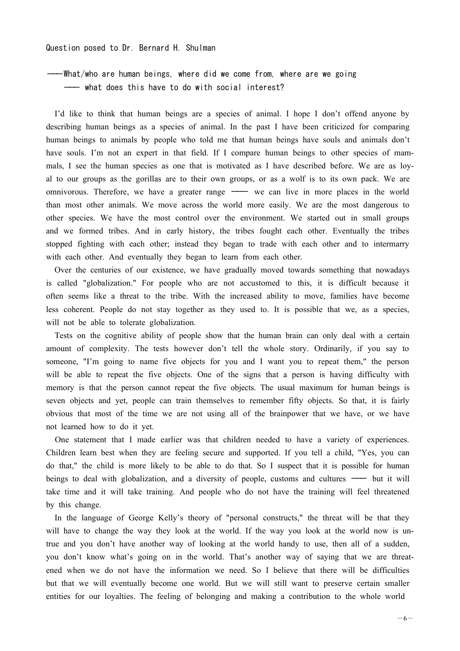Question posed to Dr. Bernard H. Shulman

---What/who are human beings, where did we come from, where are we going --- what does this have to do with social interest?

I'd like to think that human beings are a species of animal. I hope I don't offend anyone by describing human beings as a species of animal. In the past I have been criticized for comparing human beings to animals by people who told me that human beings have souls and animals don't have souls. I'm not an expert in that field. If I compare human beings to other species of mammals, I see the human species as one that is motivated as I have described before. We are as loyal to our groups as the gorillas are to their own groups, or as a wolf is to its own pack. We are omnivorous. Therefore, we have a greater range - we can live in more places in the world than most other animals. We move across the world more easily. We are the most dangerous to other species. We have the most control over the environment. We started out in small groups and we formed tribes. And in early history, the tribes fought each other. Eventually the tribes stopped fighting with each other; instead they began to trade with each other and to intermarry with each other. And eventually they began to learn from each other.

Over the centuries of our existence, we have gradually moved towards something that nowadays is called "globalization." For people who are not accustomed to this, it is difficult because it often seems like a threat to the tribe. With the increased ability to move, families have become less coherent. People do not stay together as they used to. It is possible that we, as a species, will not be able to tolerate globalization.

Tests on the cognitive ability of people show that the human brain can only deal with a certain amount of complexity. The tests however don't tell the whole story. Ordinarily, if you say to someone, "I'm going to name five objects for you and I want you to repeat them," the person will be able to repeat the five objects. One of the signs that a person is having difficulty with memory is that the person cannot repeat the five objects. The usual maximum for human beings is seven objects and yet, people can train themselves to remember fifty objects. So that, it is fairly obvious that most of the time we are not using all of the brainpower that we have, or we have not learned how to do it yet.

One statement that I made earlier was that children needed to have a variety of experiences. Children learn best when they are feeling secure and supported. If you tell a child, "Yes, you can do that," the child is more likely to be able to do that. So I suspect that it is possible for human beings to deal with globalization, and a diversity of people, customs and cultures  $\rightarrow$  but it will take time and it will take training. And people who do not have the training will feel threatened by this change.

In the language of George Kelly's theory of "personal constructs," the threat will be that they will have to change the way they look at the world. If the way you look at the world now is untrue and you don't have another way of looking at the world handy to use, then all of a sudden, you don't know what's going on in the world. That's another way of saying that we are threatened when we do not have the information we need. So I believe that there will be difficulties but that we will eventually become one world. But we will still want to preserve certain smaller entities for our loyalties. The feeling of belonging and making a contribution to the whole world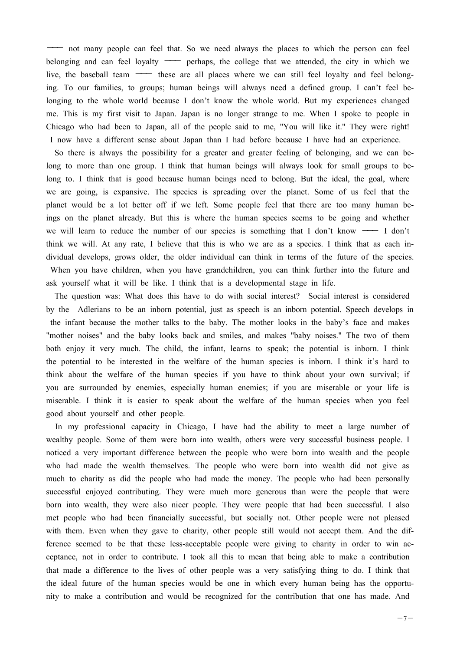--- not many people can feel that. So we need always the places to which the person can feel belonging and can feel loyalty — perhaps, the college that we attended, the city in which we live, the baseball team  $\longrightarrow$  these are all places where we can still feel loyalty and feel belonging. To our families, to groups; human beings will always need a defined group. I can't feel belonging to the whole world because I don't know the whole world. But my experiences changed me. This is my first visit to Japan. Japan is no longer strange to me. When I spoke to people in Chicago who had been to Japan, all of the people said to me, "You will like it." They were right! I now have a different sense about Japan than I had before because I have had an experience.

So there is always the possibility for a greater and greater feeling of belonging, and we can belong to more than one group. I think that human beings will always look for small groups to belong to. I think that is good because human beings need to belong. But the ideal, the goal, where we are going, is expansive. The species is spreading over the planet. Some of us feel that the planet would be a lot better off if we left. Some people feel that there are too many human beings on the planet already. But this is where the human species seems to be going and whether we will learn to reduce the number of our species is something that I don't know  $\rightarrow$  I don't think we will. At any rate, I believe that this is who we are as a species. I think that as each individual develops, grows older, the older individual can think in terms of the future of the species. When you have children, when you have grandchildren, you can think further into the future and ask yourself what it will be like. I think that is a developmental stage in life.

The question was: What does this have to do with social interest? Social interest is considered by the Adlerians to be an inborn potential, just as speech is an inborn potential. Speech develops in the infant because the mother talks to the baby. The mother looks in the baby's face and makes "mother noises" and the baby looks back and smiles, and makes "baby noises." The two of them both enjoy it very much. The child, the infant, learns to speak; the potential is inborn. I think the potential to be interested in the welfare of the human species is inborn. I think it's hard to think about the welfare of the human species if you have to think about your own survival; if you are surrounded by enemies, especially human enemies; if you are miserable or your life is miserable. I think it is easier to speak about the welfare of the human species when you feel good about yourself and other people.

In my professional capacity in Chicago, I have had the ability to meet a large number of wealthy people. Some of them were born into wealth, others were very successful business people. I noticed a very important difference between the people who were born into wealth and the people who had made the wealth themselves. The people who were born into wealth did not give as much to charity as did the people who had made the money. The people who had been personally successful enjoyed contributing. They were much more generous than were the people that were born into wealth, they were also nicer people. They were people that had been successful. I also met people who had been financially successful, but socially not. Other people were not pleased with them. Even when they gave to charity, other people still would not accept them. And the difference seemed to be that these less-acceptable people were giving to charity in order to win acceptance, not in order to contribute. I took all this to mean that being able to make a contribution that made a difference to the lives of other people was a very satisfying thing to do. I think that the ideal future of the human species would be one in which every human being has the opportunity to make a contribution and would be recognized for the contribution that one has made. And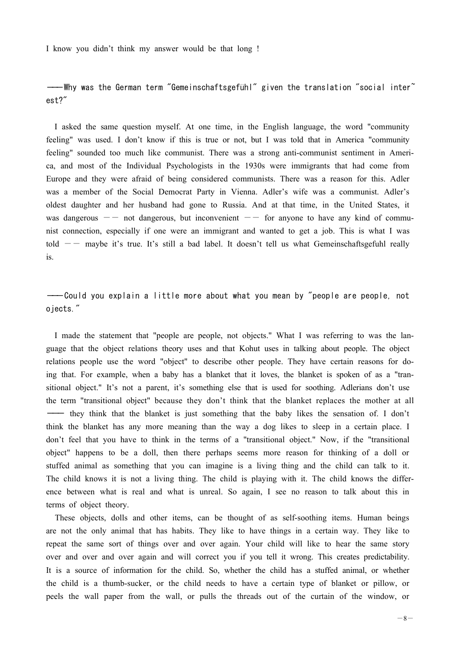I know you didn't think my answer would be that long !

## ---Why was the German term "Gemeinschaftsgefühl" given the translation "social inter" est?"

I asked the same question myself. At one time, in the English language, the word "community feeling" was used. I don't know if this is true or not, but I was told that in America "community feeling" sounded too much like communist. There was a strong anti-communist sentiment in America, and most of the Individual Psychologists in the 1930s were immigrants that had come from Europe and they were afraid of being considered communists. There was a reason for this. Adler was a member of the Social Democrat Party in Vienna. Adler's wife was a communist. Adler's oldest daughter and her husband had gone to Russia. And at that time, in the United States, it was dangerous  $-$  not dangerous, but inconvenient  $-$  for anyone to have any kind of communist connection, especially if one were an immigrant and wanted to get a job. This is what I was told  $-$  maybe it's true. It's still a bad label. It doesn't tell us what Gemeinschaftsgefuhl really is.

---Could you explain a little more about what you mean by "people are people, not ojects."

I made the statement that "people are people, not objects." What I was referring to was the language that the object relations theory uses and that Kohut uses in talking about people. The object relations people use the word "object" to describe other people. They have certain reasons for doing that. For example, when a baby has a blanket that it loves, the blanket is spoken of as a "transitional object." It's not a parent, it's something else that is used for soothing. Adlerians don't use the term "transitional object" because they don't think that the blanket replaces the mother at all they think that the blanket is just something that the baby likes the sensation of. I don't think the blanket has any more meaning than the way a dog likes to sleep in a certain place. I don't feel that you have to think in the terms of a "transitional object." Now, if the "transitional object" happens to be a doll, then there perhaps seems more reason for thinking of a doll or stuffed animal as something that you can imagine is a living thing and the child can talk to it. The child knows it is not a living thing. The child is playing with it. The child knows the difference between what is real and what is unreal. So again, I see no reason to talk about this in terms of object theory.

These objects, dolls and other items, can be thought of as self-soothing items. Human beings are not the only animal that has habits. They like to have things in a certain way. They like to repeat the same sort of things over and over again. Your child will like to hear the same story over and over and over again and will correct you if you tell it wrong. This creates predictability. It is a source of information for the child. So, whether the child has a stuffed animal, or whether the child is a thumb-sucker, or the child needs to have a certain type of blanket or pillow, or peels the wall paper from the wall, or pulls the threads out of the curtain of the window, or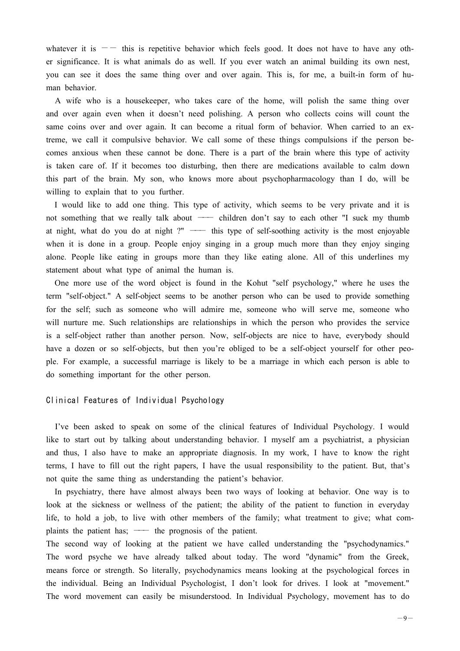whatever it is  $-$  this is repetitive behavior which feels good. It does not have to have any other significance. It is what animals do as well. If you ever watch an animal building its own nest, you can see it does the same thing over and over again. This is, for me, a built-in form of human behavior.

A wife who is a housekeeper, who takes care of the home, will polish the same thing over and over again even when it doesn't need polishing. A person who collects coins will count the same coins over and over again. It can become a ritual form of behavior. When carried to an extreme, we call it compulsive behavior. We call some of these things compulsions if the person becomes anxious when these cannot be done. There is a part of the brain where this type of activity is taken care of. If it becomes too disturbing, then there are medications available to calm down this part of the brain. My son, who knows more about psychopharmacology than I do, will be willing to explain that to you further.

I would like to add one thing. This type of activity, which seems to be very private and it is not something that we really talk about  $\overline{\phantom{a}}$  children don't say to each other "I suck my thumb at night, what do you do at night ?"  $\longrightarrow$  this type of self-soothing activity is the most enjoyable when it is done in a group. People enjoy singing in a group much more than they enjoy singing alone. People like eating in groups more than they like eating alone. All of this underlines my statement about what type of animal the human is.

One more use of the word object is found in the Kohut "self psychology," where he uses the term "self-object." A self-object seems to be another person who can be used to provide something for the self; such as someone who will admire me, someone who will serve me, someone who will nurture me. Such relationships are relationships in which the person who provides the service is a self-object rather than another person. Now, self-objects are nice to have, everybody should have a dozen or so self-objects, but then you're obliged to be a self-object yourself for other people. For example, a successful marriage is likely to be a marriage in which each person is able to do something important for the other person.

#### Clinical Features of Individual Psychology

I've been asked to speak on some of the clinical features of Individual Psychology. I would like to start out by talking about understanding behavior. I myself am a psychiatrist, a physician and thus, I also have to make an appropriate diagnosis. In my work, I have to know the right terms, I have to fill out the right papers, I have the usual responsibility to the patient. But, that's not quite the same thing as understanding the patient's behavior.

In psychiatry, there have almost always been two ways of looking at behavior. One way is to look at the sickness or wellness of the patient; the ability of the patient to function in everyday life, to hold a job, to live with other members of the family; what treatment to give; what complaints the patient has; — the prognosis of the patient.

The second way of looking at the patient we have called understanding the "psychodynamics." The word psyche we have already talked about today. The word "dynamic" from the Greek, means force or strength. So literally, psychodynamics means looking at the psychological forces in the individual. Being an Individual Psychologist, I don't look for drives. I look at "movement." The word movement can easily be misunderstood. In Individual Psychology, movement has to do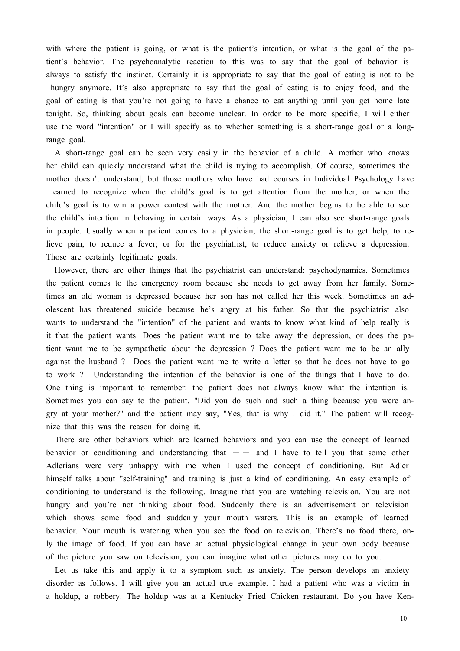with where the patient is going, or what is the patient's intention, or what is the goal of the patient's behavior. The psychoanalytic reaction to this was to say that the goal of behavior is always to satisfy the instinct. Certainly it is appropriate to say that the goal of eating is not to be hungry anymore. It's also appropriate to say that the goal of eating is to enjoy food, and the goal of eating is that you're not going to have a chance to eat anything until you get home late tonight. So, thinking about goals can become unclear. In order to be more specific, I will either use the word "intention" or I will specify as to whether something is a short-range goal or a longrange goal.

A short-range goal can be seen very easily in the behavior of a child. A mother who knows her child can quickly understand what the child is trying to accomplish. Of course, sometimes the mother doesn't understand, but those mothers who have had courses in Individual Psychology have learned to recognize when the child's goal is to get attention from the mother, or when the child's goal is to win a power contest with the mother. And the mother begins to be able to see the child's intention in behaving in certain ways. As a physician, I can also see short-range goals in people. Usually when a patient comes to a physician, the short-range goal is to get help, to relieve pain, to reduce a fever; or for the psychiatrist, to reduce anxiety or relieve a depression. Those are certainly legitimate goals.

However, there are other things that the psychiatrist can understand: psychodynamics. Sometimes the patient comes to the emergency room because she needs to get away from her family. Sometimes an old woman is depressed because her son has not called her this week. Sometimes an adolescent has threatened suicide because he's angry at his father. So that the psychiatrist also wants to understand the "intention" of the patient and wants to know what kind of help really is it that the patient wants. Does the patient want me to take away the depression, or does the patient want me to be sympathetic about the depression ? Does the patient want me to be an ally against the husband ? Does the patient want me to write a letter so that he does not have to go to work ? Understanding the intention of the behavior is one of the things that I have to do. One thing is important to remember: the patient does not always know what the intention is. Sometimes you can say to the patient, "Did you do such and such a thing because you were angry at your mother?" and the patient may say, "Yes, that is why I did it." The patient will recognize that this was the reason for doing it.

There are other behaviors which are learned behaviors and you can use the concept of learned behavior or conditioning and understanding that  $-$  and I have to tell you that some other Adlerians were very unhappy with me when I used the concept of conditioning. But Adler himself talks about "self-training" and training is just a kind of conditioning. An easy example of conditioning to understand is the following. Imagine that you are watching television. You are not hungry and you're not thinking about food. Suddenly there is an advertisement on television which shows some food and suddenly your mouth waters. This is an example of learned behavior. Your mouth is watering when you see the food on television. There's no food there, only the image of food. If you can have an actual physiological change in your own body because of the picture you saw on television, you can imagine what other pictures may do to you.

Let us take this and apply it to a symptom such as anxiety. The person develops an anxiety disorder as follows. I will give you an actual true example. I had a patient who was a victim in a holdup, a robbery. The holdup was at a Kentucky Fried Chicken restaurant. Do you have Ken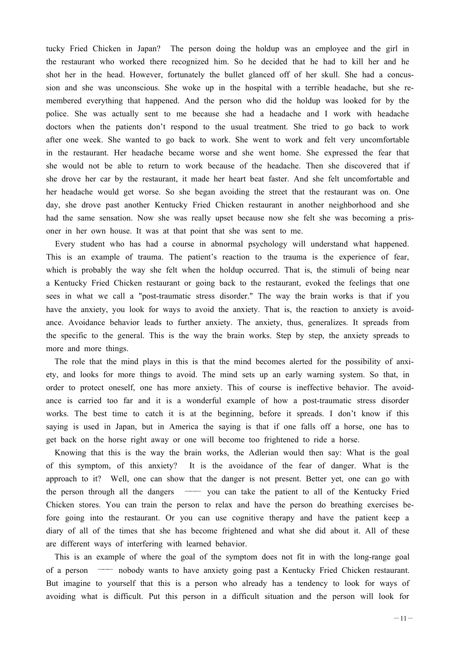tucky Fried Chicken in Japan? The person doing the holdup was an employee and the girl in the restaurant who worked there recognized him. So he decided that he had to kill her and he shot her in the head. However, fortunately the bullet glanced off of her skull. She had a concussion and she was unconscious. She woke up in the hospital with a terrible headache, but she remembered everything that happened. And the person who did the holdup was looked for by the police. She was actually sent to me because she had a headache and I work with headache doctors when the patients don't respond to the usual treatment. She tried to go back to work after one week. She wanted to go back to work. She went to work and felt very uncomfortable in the restaurant. Her headache became worse and she went home. She expressed the fear that she would not be able to return to work because of the headache. Then she discovered that if she drove her car by the restaurant, it made her heart beat faster. And she felt uncomfortable and her headache would get worse. So she began avoiding the street that the restaurant was on. One day, she drove past another Kentucky Fried Chicken restaurant in another neighborhood and she had the same sensation. Now she was really upset because now she felt she was becoming a prisoner in her own house. It was at that point that she was sent to me.

Every student who has had a course in abnormal psychology will understand what happened. This is an example of trauma. The patient's reaction to the trauma is the experience of fear, which is probably the way she felt when the holdup occurred. That is, the stimuli of being near a Kentucky Fried Chicken restaurant or going back to the restaurant, evoked the feelings that one sees in what we call a "post-traumatic stress disorder." The way the brain works is that if you have the anxiety, you look for ways to avoid the anxiety. That is, the reaction to anxiety is avoidance. Avoidance behavior leads to further anxiety. The anxiety, thus, generalizes. It spreads from the specific to the general. This is the way the brain works. Step by step, the anxiety spreads to more and more things.

The role that the mind plays in this is that the mind becomes alerted for the possibility of anxiety, and looks for more things to avoid. The mind sets up an early warning system. So that, in order to protect oneself, one has more anxiety. This of course is ineffective behavior. The avoidance is carried too far and it is a wonderful example of how a post-traumatic stress disorder works. The best time to catch it is at the beginning, before it spreads. I don't know if this saying is used in Japan, but in America the saying is that if one falls off a horse, one has to get back on the horse right away or one will become too frightened to ride a horse.

Knowing that this is the way the brain works, the Adlerian would then say: What is the goal of this symptom, of this anxiety? It is the avoidance of the fear of danger. What is the approach to it? Well, one can show that the danger is not present. Better yet, one can go with the person through all the dangers  $\longrightarrow$  you can take the patient to all of the Kentucky Fried Chicken stores. You can train the person to relax and have the person do breathing exercises before going into the restaurant. Or you can use cognitive therapy and have the patient keep a diary of all of the times that she has become frightened and what she did about it. All of these are different ways of interfering with learned behavior.

This is an example of where the goal of the symptom does not fit in with the long-range goal of a person -- nobody wants to have anxiety going past a Kentucky Fried Chicken restaurant. But imagine to yourself that this is a person who already has a tendency to look for ways of avoiding what is difficult. Put this person in a difficult situation and the person will look for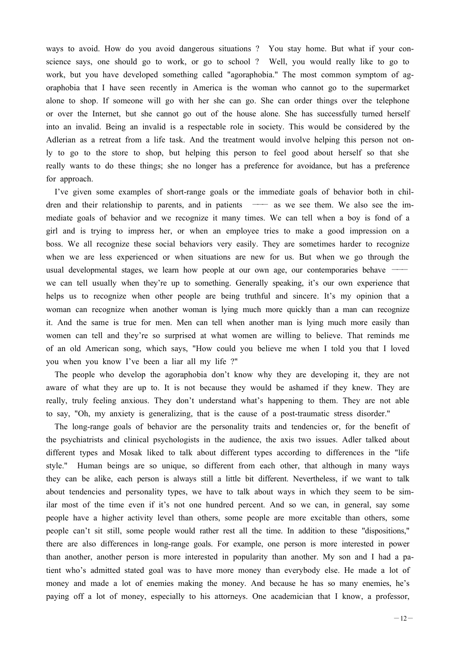ways to avoid. How do you avoid dangerous situations ? You stay home. But what if your conscience says, one should go to work, or go to school ? Well, you would really like to go to work, but you have developed something called "agoraphobia." The most common symptom of agoraphobia that I have seen recently in America is the woman who cannot go to the supermarket alone to shop. If someone will go with her she can go. She can order things over the telephone or over the Internet, but she cannot go out of the house alone. She has successfully turned herself into an invalid. Being an invalid is a respectable role in society. This would be considered by the Adlerian as a retreat from a life task. And the treatment would involve helping this person not only to go to the store to shop, but helping this person to feel good about herself so that she really wants to do these things; she no longer has a preference for avoidance, but has a preference for approach.

I've given some examples of short-range goals or the immediate goals of behavior both in children and their relationship to parents, and in patients -- as we see them. We also see the immediate goals of behavior and we recognize it many times. We can tell when a boy is fond of a girl and is trying to impress her, or when an employee tries to make a good impression on a boss. We all recognize these social behaviors very easily. They are sometimes harder to recognize when we are less experienced or when situations are new for us. But when we go through the usual developmental stages, we learn how people at our own age, our contemporaries behave  $$ we can tell usually when they're up to something. Generally speaking, it's our own experience that helps us to recognize when other people are being truthful and sincere. It's my opinion that a woman can recognize when another woman is lying much more quickly than a man can recognize it. And the same is true for men. Men can tell when another man is lying much more easily than women can tell and they're so surprised at what women are willing to believe. That reminds me of an old American song, which says, "How could you believe me when I told you that I loved you when you know I've been a liar all my life ?"

The people who develop the agoraphobia don't know why they are developing it, they are not aware of what they are up to. It is not because they would be ashamed if they knew. They are really, truly feeling anxious. They don't understand what's happening to them. They are not able to say, "Oh, my anxiety is generalizing, that is the cause of a post-traumatic stress disorder."

The long-range goals of behavior are the personality traits and tendencies or, for the benefit of the psychiatrists and clinical psychologists in the audience, the axis two issues. Adler talked about different types and Mosak liked to talk about different types according to differences in the "life style." Human beings are so unique, so different from each other, that although in many ways they can be alike, each person is always still a little bit different. Nevertheless, if we want to talk about tendencies and personality types, we have to talk about ways in which they seem to be similar most of the time even if it's not one hundred percent. And so we can, in general, say some people have a higher activity level than others, some people are more excitable than others, some people can't sit still, some people would rather rest all the time. In addition to these "dispositions," there are also differences in long-range goals. For example, one person is more interested in power than another, another person is more interested in popularity than another. My son and I had a patient who's admitted stated goal was to have more money than everybody else. He made a lot of money and made a lot of enemies making the money. And because he has so many enemies, he's paying off a lot of money, especially to his attorneys. One academician that I know, a professor,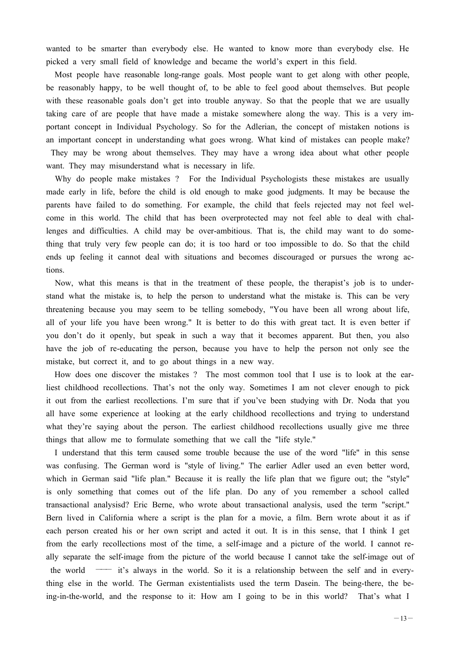wanted to be smarter than everybody else. He wanted to know more than everybody else. He picked a very small field of knowledge and became the world's expert in this field.

Most people have reasonable long-range goals. Most people want to get along with other people, be reasonably happy, to be well thought of, to be able to feel good about themselves. But people with these reasonable goals don't get into trouble anyway. So that the people that we are usually taking care of are people that have made a mistake somewhere along the way. This is a very important concept in Individual Psychology. So for the Adlerian, the concept of mistaken notions is an important concept in understanding what goes wrong. What kind of mistakes can people make? They may be wrong about themselves. They may have a wrong idea about what other people want. They may misunderstand what is necessary in life.

Why do people make mistakes ? For the Individual Psychologists these mistakes are usually made early in life, before the child is old enough to make good judgments. It may be because the parents have failed to do something. For example, the child that feels rejected may not feel welcome in this world. The child that has been overprotected may not feel able to deal with challenges and difficulties. A child may be over-ambitious. That is, the child may want to do something that truly very few people can do; it is too hard or too impossible to do. So that the child ends up feeling it cannot deal with situations and becomes discouraged or pursues the wrong actions.

Now, what this means is that in the treatment of these people, the therapist's job is to understand what the mistake is, to help the person to understand what the mistake is. This can be very threatening because you may seem to be telling somebody, "You have been all wrong about life, all of your life you have been wrong." It is better to do this with great tact. It is even better if you don't do it openly, but speak in such a way that it becomes apparent. But then, you also have the job of re-educating the person, because you have to help the person not only see the mistake, but correct it, and to go about things in a new way.

How does one discover the mistakes ? The most common tool that I use is to look at the earliest childhood recollections. That's not the only way. Sometimes I am not clever enough to pick it out from the earliest recollections. I'm sure that if you've been studying with Dr. Noda that you all have some experience at looking at the early childhood recollections and trying to understand what they're saying about the person. The earliest childhood recollections usually give me three things that allow me to formulate something that we call the "life style."

I understand that this term caused some trouble because the use of the word "life" in this sense was confusing. The German word is "style of living." The earlier Adler used an even better word, which in German said "life plan." Because it is really the life plan that we figure out; the "style" is only something that comes out of the life plan. Do any of you remember a school called transactional analysisd? Eric Berne, who wrote about transactional analysis, used the term "script." Bern lived in California where a script is the plan for a movie, a film. Bern wrote about it as if each person created his or her own script and acted it out. It is in this sense, that I think I get from the early recollections most of the time, a self-image and a picture of the world. I cannot really separate the self-image from the picture of the world because I cannot take the self-image out of the world  $-$  it's always in the world. So it is a relationship between the self and in everything else in the world. The German existentialists used the term Dasein. The being-there, the being-in-the-world, and the response to it: How am I going to be in this world? That's what I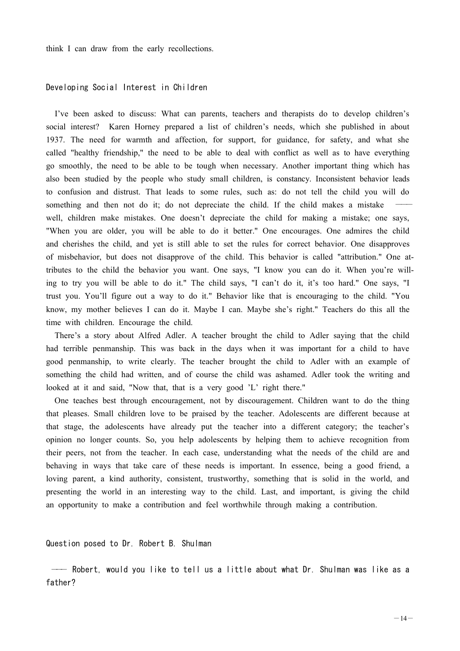think I can draw from the early recollections.

### Developing Social Interest in Children

I've been asked to discuss: What can parents, teachers and therapists do to develop children's social interest? Karen Horney prepared a list of children's needs, which she published in about 1937. The need for warmth and affection, for support, for guidance, for safety, and what she called "healthy friendship," the need to be able to deal with conflict as well as to have everything go smoothly, the need to be able to be tough when necessary. Another important thing which has also been studied by the people who study small children, is constancy. Inconsistent behavior leads to confusion and distrust. That leads to some rules, such as: do not tell the child you will do something and then not do it; do not depreciate the child. If the child makes a mistake well, children make mistakes. One doesn't depreciate the child for making a mistake; one says, "When you are older, you will be able to do it better." One encourages. One admires the child and cherishes the child, and yet is still able to set the rules for correct behavior. One disapproves of misbehavior, but does not disapprove of the child. This behavior is called "attribution." One attributes to the child the behavior you want. One says, "I know you can do it. When you're willing to try you will be able to do it." The child says, "I can't do it, it's too hard." One says, "I trust you. You'll figure out a way to do it." Behavior like that is encouraging to the child. "You know, my mother believes I can do it. Maybe I can. Maybe she's right." Teachers do this all the time with children. Encourage the child.

There's a story about Alfred Adler. A teacher brought the child to Adler saying that the child had terrible penmanship. This was back in the days when it was important for a child to have good penmanship, to write clearly. The teacher brought the child to Adler with an example of something the child had written, and of course the child was ashamed. Adler took the writing and looked at it and said, "Now that, that is a very good 'L' right there."

One teaches best through encouragement, not by discouragement. Children want to do the thing that pleases. Small children love to be praised by the teacher. Adolescents are different because at that stage, the adolescents have already put the teacher into a different category; the teacher's opinion no longer counts. So, you help adolescents by helping them to achieve recognition from their peers, not from the teacher. In each case, understanding what the needs of the child are and behaving in ways that take care of these needs is important. In essence, being a good friend, a loving parent, a kind authority, consistent, trustworthy, something that is solid in the world, and presenting the world in an interesting way to the child. Last, and important, is giving the child an opportunity to make a contribution and feel worthwhile through making a contribution.

Question posed to Dr. Robert B. Shulman

-- Robert, would you like to tell us a little about what Dr. Shulman was like as a father?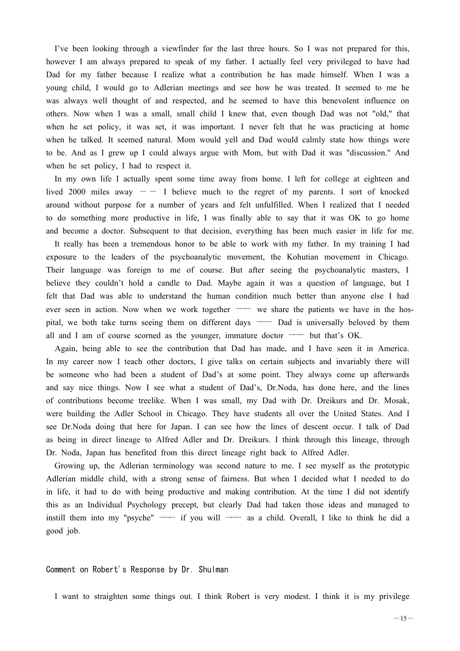I've been looking through a viewfinder for the last three hours. So I was not prepared for this, however I am always prepared to speak of my father. I actually feel very privileged to have had Dad for my father because I realize what a contribution he has made himself. When I was a young child, I would go to Adlerian meetings and see how he was treated. It seemed to me he was always well thought of and respected, and he seemed to have this benevolent influence on others. Now when I was a small, small child I knew that, even though Dad was not "old," that when he set policy, it was set, it was important. I never felt that he was practicing at home when he talked. It seemed natural. Mom would yell and Dad would calmly state how things were to be. And as I grew up I could always argue with Mom, but with Dad it was "discussion." And when he set policy, I had to respect it.

In my own life I actually spent some time away from home. I left for college at eighteen and lived 2000 miles away  $-$  I believe much to the regret of my parents. I sort of knocked around without purpose for a number of years and felt unfulfilled. When I realized that I needed to do something more productive in life, I was finally able to say that it was OK to go home and become a doctor. Subsequent to that decision, everything has been much easier in life for me.

It really has been a tremendous honor to be able to work with my father. In my training I had exposure to the leaders of the psychoanalytic movement, the Kohutian movement in Chicago. Their language was foreign to me of course. But after seeing the psychoanalytic masters, I believe they couldn't hold a candle to Dad. Maybe again it was a question of language, but I felt that Dad was able to understand the human condition much better than anyone else I had ever seen in action. Now when we work together  $\overline{\phantom{a}}$  we share the patients we have in the hospital, we both take turns seeing them on different days  $\sim$  Dad is universally beloved by them all and I am of course scorned as the younger, immature doctor  $-$  but that's OK.

Again, being able to see the contribution that Dad has made, and I have seen it in America. In my career now I teach other doctors, I give talks on certain subjects and invariably there will be someone who had been a student of Dad's at some point. They always come up afterwards and say nice things. Now I see what a student of Dad's, Dr.Noda, has done here, and the lines of contributions become treelike. When I was small, my Dad with Dr. Dreikurs and Dr. Mosak, were building the Adler School in Chicago. They have students all over the United States. And I see Dr.Noda doing that here for Japan. I can see how the lines of descent occur. I talk of Dad as being in direct lineage to Alfred Adler and Dr. Dreikurs. I think through this lineage, through Dr. Noda, Japan has benefited from this direct lineage right back to Alfred Adler.

Growing up, the Adlerian terminology was second nature to me. I see myself as the prototypic Adlerian middle child, with a strong sense of fairness. But when I decided what I needed to do in life, it had to do with being productive and making contribution. At the time I did not identify this as an Individual Psychology precept, but clearly Dad had taken those ideas and managed to instill them into my "psyche"  $\longrightarrow$  if you will  $\longrightarrow$  as a child. Overall, I like to think he did a good job.

#### Comment on Robert's Response by Dr. Shulman

I want to straighten some things out. I think Robert is very modest. I think it is my privilege